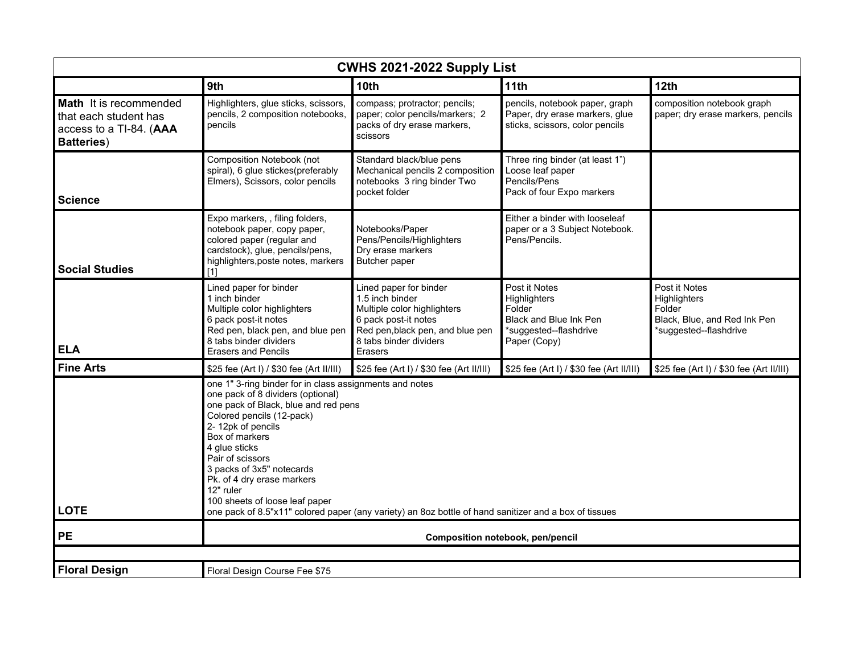| CWHS 2021-2022 Supply List                                                                       |                                                                                                                                                                                                                                                                                                                                                                                                                                                                  |                                                                                                                                                                           |                                                                                                             |                                                                                                   |  |  |  |
|--------------------------------------------------------------------------------------------------|------------------------------------------------------------------------------------------------------------------------------------------------------------------------------------------------------------------------------------------------------------------------------------------------------------------------------------------------------------------------------------------------------------------------------------------------------------------|---------------------------------------------------------------------------------------------------------------------------------------------------------------------------|-------------------------------------------------------------------------------------------------------------|---------------------------------------------------------------------------------------------------|--|--|--|
|                                                                                                  | 9th                                                                                                                                                                                                                                                                                                                                                                                                                                                              | 10 <sub>th</sub>                                                                                                                                                          | 11th                                                                                                        | 12th                                                                                              |  |  |  |
| Math It is recommended<br>that each student has<br>access to a TI-84. (AAA<br><b>Batteries</b> ) | Highlighters, glue sticks, scissors,<br>pencils, 2 composition notebooks,<br>pencils                                                                                                                                                                                                                                                                                                                                                                             | compass; protractor; pencils;<br>paper; color pencils/markers; 2<br>packs of dry erase markers,<br>scissors                                                               | pencils, notebook paper, graph<br>Paper, dry erase markers, glue<br>sticks, scissors, color pencils         | composition notebook graph<br>paper; dry erase markers, pencils                                   |  |  |  |
| <b>Science</b>                                                                                   | Composition Notebook (not<br>spiral), 6 glue stickes(preferably<br>Elmers), Scissors, color pencils                                                                                                                                                                                                                                                                                                                                                              | Standard black/blue pens<br>Mechanical pencils 2 composition<br>notebooks 3 ring binder Two<br>pocket folder                                                              | Three ring binder (at least 1")<br>Loose leaf paper<br>Pencils/Pens<br>Pack of four Expo markers            |                                                                                                   |  |  |  |
| <b>Social Studies</b>                                                                            | Expo markers, , filing folders,<br>notebook paper, copy paper,<br>colored paper (regular and<br>cardstock), glue, pencils/pens,<br>highlighters, poste notes, markers<br>[1]                                                                                                                                                                                                                                                                                     | Notebooks/Paper<br>Pens/Pencils/Highlighters<br>Dry erase markers<br>Butcher paper                                                                                        | Either a binder with looseleaf<br>paper or a 3 Subject Notebook.<br>Pens/Pencils.                           |                                                                                                   |  |  |  |
| <b>ELA</b>                                                                                       | Lined paper for binder<br>1 inch binder<br>Multiple color highlighters<br>6 pack post-it notes<br>Red pen, black pen, and blue pen<br>8 tabs binder dividers<br><b>Erasers and Pencils</b>                                                                                                                                                                                                                                                                       | Lined paper for binder<br>1.5 inch binder<br>Multiple color highlighters<br>6 pack post-it notes<br>Red pen, black pen, and blue pen<br>8 tabs binder dividers<br>Erasers | Post it Notes<br>Highlighters<br>Folder<br>Black and Blue Ink Pen<br>*suggested--flashdrive<br>Paper (Copy) | Post it Notes<br>Highlighters<br>Folder<br>Black, Blue, and Red Ink Pen<br>*suggested--flashdrive |  |  |  |
| <b>Fine Arts</b>                                                                                 | \$25 fee (Art I) / \$30 fee (Art II/III)                                                                                                                                                                                                                                                                                                                                                                                                                         | \$25 fee (Art I) / \$30 fee (Art II/III)                                                                                                                                  | \$25 fee (Art I) / \$30 fee (Art II/III)                                                                    | \$25 fee (Art I) / \$30 fee (Art II/III)                                                          |  |  |  |
| <b>LOTE</b>                                                                                      | one 1" 3-ring binder for in class assignments and notes<br>one pack of 8 dividers (optional)<br>one pack of Black, blue and red pens<br>Colored pencils (12-pack)<br>2-12pk of pencils<br>Box of markers<br>4 glue sticks<br>Pair of scissors<br>3 packs of 3x5" notecards<br>Pk. of 4 dry erase markers<br>12" ruler<br>100 sheets of loose leaf paper<br>one pack of 8.5"x11" colored paper (any variety) an 8oz bottle of hand sanitizer and a box of tissues |                                                                                                                                                                           |                                                                                                             |                                                                                                   |  |  |  |
| <b>PE</b>                                                                                        | Composition notebook, pen/pencil                                                                                                                                                                                                                                                                                                                                                                                                                                 |                                                                                                                                                                           |                                                                                                             |                                                                                                   |  |  |  |
|                                                                                                  |                                                                                                                                                                                                                                                                                                                                                                                                                                                                  |                                                                                                                                                                           |                                                                                                             |                                                                                                   |  |  |  |
| <b>Floral Design</b>                                                                             | Floral Design Course Fee \$75                                                                                                                                                                                                                                                                                                                                                                                                                                    |                                                                                                                                                                           |                                                                                                             |                                                                                                   |  |  |  |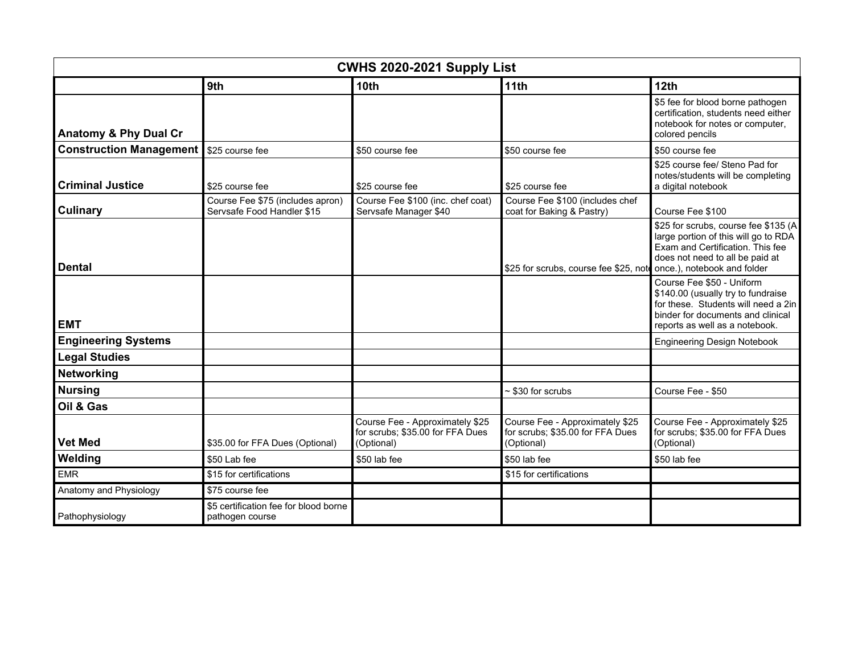| CWHS 2020-2021 Supply List       |                                                                |                                                                                   |                                                                                   |                                                                                                                                                                               |  |  |
|----------------------------------|----------------------------------------------------------------|-----------------------------------------------------------------------------------|-----------------------------------------------------------------------------------|-------------------------------------------------------------------------------------------------------------------------------------------------------------------------------|--|--|
|                                  | 9th                                                            | 10 <sub>th</sub>                                                                  | 11th                                                                              | 12 <sub>th</sub>                                                                                                                                                              |  |  |
| <b>Anatomy &amp; Phy Dual Cr</b> |                                                                |                                                                                   |                                                                                   | \$5 fee for blood borne pathogen<br>certification, students need either<br>notebook for notes or computer,<br>colored pencils                                                 |  |  |
| <b>Construction Management</b>   | \$25 course fee                                                | \$50 course fee                                                                   | \$50 course fee                                                                   | \$50 course fee                                                                                                                                                               |  |  |
| <b>Criminal Justice</b>          | \$25 course fee                                                | \$25 course fee                                                                   | \$25 course fee                                                                   | \$25 course fee/ Steno Pad for<br>notes/students will be completing<br>a digital notebook                                                                                     |  |  |
| <b>Culinary</b>                  | Course Fee \$75 (includes apron)<br>Servsafe Food Handler \$15 | Course Fee \$100 (inc. chef coat)<br>Servsafe Manager \$40                        | Course Fee \$100 (includes chef<br>coat for Baking & Pastry)                      | Course Fee \$100                                                                                                                                                              |  |  |
| <b>Dental</b>                    |                                                                |                                                                                   | \$25 for scrubs, course fee \$25, note once.), notebook and folder                | \$25 for scrubs, course fee \$135 (A<br>large portion of this will go to RDA<br>Exam and Certification. This fee<br>does not need to all be paid at                           |  |  |
| <b>EMT</b>                       |                                                                |                                                                                   |                                                                                   | Course Fee \$50 - Uniform<br>\$140.00 (usually try to fundraise<br>for these. Students will need a 2in<br>binder for documents and clinical<br>reports as well as a notebook. |  |  |
| <b>Engineering Systems</b>       |                                                                |                                                                                   |                                                                                   | <b>Engineering Design Notebook</b>                                                                                                                                            |  |  |
| <b>Legal Studies</b>             |                                                                |                                                                                   |                                                                                   |                                                                                                                                                                               |  |  |
| Networking                       |                                                                |                                                                                   |                                                                                   |                                                                                                                                                                               |  |  |
| <b>Nursing</b>                   |                                                                |                                                                                   | $~530$ for scrubs                                                                 | Course Fee - \$50                                                                                                                                                             |  |  |
| Oil & Gas                        |                                                                |                                                                                   |                                                                                   |                                                                                                                                                                               |  |  |
| <b>Vet Med</b>                   | \$35.00 for FFA Dues (Optional)                                | Course Fee - Approximately \$25<br>for scrubs; \$35.00 for FFA Dues<br>(Optional) | Course Fee - Approximately \$25<br>for scrubs; \$35.00 for FFA Dues<br>(Optional) | Course Fee - Approximately \$25<br>for scrubs; \$35.00 for FFA Dues<br>(Optional)                                                                                             |  |  |
| Welding                          | \$50 Lab fee                                                   | \$50 lab fee                                                                      | \$50 lab fee                                                                      | \$50 lab fee                                                                                                                                                                  |  |  |
| <b>EMR</b>                       | \$15 for certifications                                        |                                                                                   | \$15 for certifications                                                           |                                                                                                                                                                               |  |  |
| Anatomy and Physiology           | \$75 course fee                                                |                                                                                   |                                                                                   |                                                                                                                                                                               |  |  |
| Pathophysiology                  | \$5 certification fee for blood borne<br>pathogen course       |                                                                                   |                                                                                   |                                                                                                                                                                               |  |  |